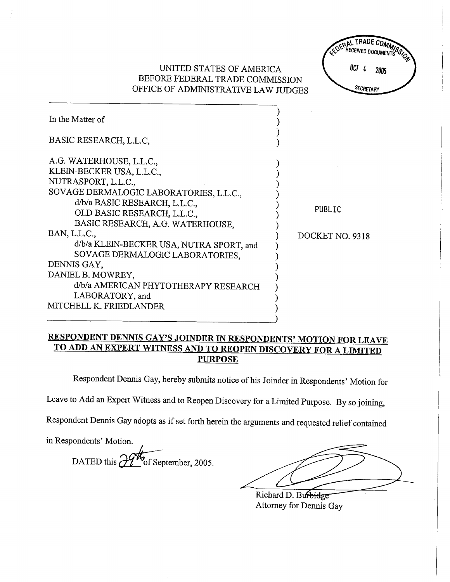## UNTED STATES OF AMERICA BEFORE FEDERAL TRADE COMMISSION OFFICE OF ADMINISTRATIVE LAW JUDGES



| In the Matter of                                                                                                                                                                                                                                                                                                                                                                                                                                     |                           |
|------------------------------------------------------------------------------------------------------------------------------------------------------------------------------------------------------------------------------------------------------------------------------------------------------------------------------------------------------------------------------------------------------------------------------------------------------|---------------------------|
| BASIC RESEARCH, L.L.C.                                                                                                                                                                                                                                                                                                                                                                                                                               |                           |
| A.G. WATERHOUSE, L.L.C.,<br>KLEIN-BECKER USA, L.L.C.,<br>NUTRASPORT, L.L.C.,<br>SOVAGE DERMALOGIC LABORATORIES, L.L.C.,<br>d/b/a BASIC RESEARCH, L.L.C.,<br>OLD BASIC RESEARCH, L.L.C.,<br>BASIC RESEARCH, A.G. WATERHOUSE,<br>BAN, L.L.C.,<br>d/b/a KLEIN-BECKER USA, NUTRA SPORT, and<br>SOVAGE DERMALOGIC LABORATORIES,<br>DENNIS GAY,<br>DANIEL B. MOWREY,<br>d/b/a AMERICAN PHYTOTHERAPY RESEARCH<br>LABORATORY, and<br>MITCHELL K. FRIEDLANDER | PUBLIC<br>DOCKET NO. 9318 |
|                                                                                                                                                                                                                                                                                                                                                                                                                                                      |                           |

## RESPONDENT DENNIS GAY'S JOINDER IN RESPONDENTS' MOTION FOR LEAVE TO ADD AN EXPERT WITNESS AND TO REOPEN DISCOVERY FOR A LIMITED PURPOSE

Respondent Dennis Gay, hereby submits notice of his Joinder in Respondents' Motion for

Leave to Add an Expert Witness and to Reopen Discovery for a Limited Purpose. By so joining,

Respondent Dennis Gay adopts as if set forth herein the arguments and requested relief contained

in Respondents' Motion.

DATED this  $\frac{\partial \mathcal{W}}{\partial s}$  of September, 2005.

Richard D. Burbidge Attorney for Dennis Gay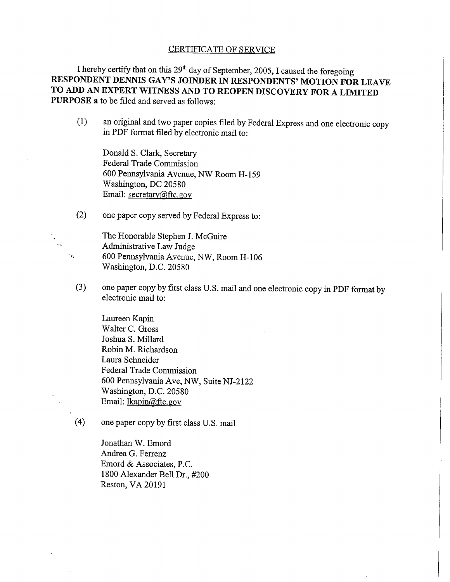## CERTIFICATE OF SERVICE

I hereby certify that on this  $29<sup>th</sup>$  day of September, 2005, I caused the foregoing RESPONDENT DENNIS GAY'S JOINDER IN RESPONDENTS' MOTION FOR LEAVE TO ADD AN EXPERT WITNESS AND TO REOPEN DISCOVERY FOR A LIMITED PURPOSE a to be filed and served as follows:

(1) an original and two paper copies filed by Federal Express and one electronic copy in PDF format fied by electronic mail to:

Donald S. Clark, Secretar Federal Trade Commission 600 Pennsylvania Avenue, NW Room H- 159 Washington, DC 20580 Email: secretary@ftc.gov

(2) one paper copy served by Federal Express to:

The Honorable Stephen J. McGuire Administrative Law Judge 600 Pennsylvania Avenue, NW, Room H- 106 Washington, D.C. 20580

 $\gamma_{\ell\ell}$ 

(3) one paper copy by first class U.S. mail and one electronic copy in PDF format by electronic mail to:

Laureen Kapin Walter C. Gross Joshua S. Milard Robin M. Richardson Laura Schneider Federal Trade Commission 600 Pennsylvania Ave, NW, Suite NJ-2122 Washington, D.C. 20580 Email: lkapin@ftc.gov

(4) one paper copy by first class U.S. mail

Jonathan W. Emord Andrea G. Ferrenz Emord & Associates, P. 1800 Alexander Bell Dr., #200 Reston, VA 20191